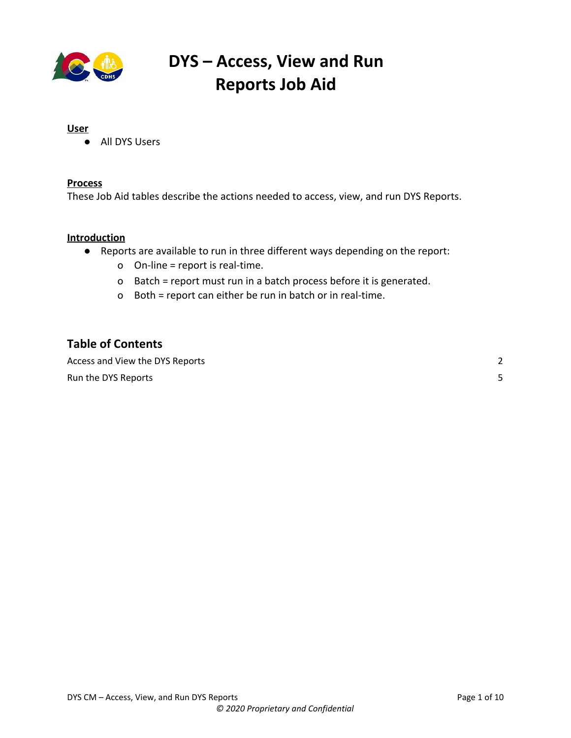

#### **User**

● All DYS Users

#### **Process**

These Job Aid tables describe the actions needed to access, view, and run DYS Reports.

#### **Introduction**

- Reports are available to run in three different ways depending on the report:
	- o On-line = report is real-time.
	- o Batch = report must run in a batch process before it is generated.
	- o Both = report can either be run in batch or in real-time.

#### **Table of Contents**

Access and View the DYS [Reports](#page-1-0) [2](#page-1-0) **Run the DYS [Reports](#page-4-0)** [5](#page-4-0)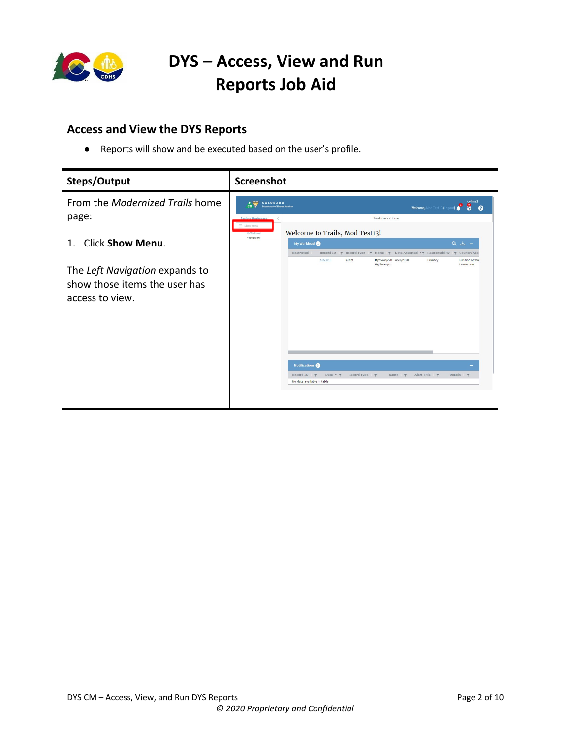

### <span id="page-1-0"></span>**Access and View the DYS Reports**

● Reports will show and be executed based on the user's profile.

| Steps/Output                                                                                                        | <b>Screenshot</b>                                                                                                                                                                                                                               |                                      |
|---------------------------------------------------------------------------------------------------------------------|-------------------------------------------------------------------------------------------------------------------------------------------------------------------------------------------------------------------------------------------------|--------------------------------------|
| From the <i>Modernized Trails</i> home                                                                              | A CHI COLORADO<br>co v<br><b>Department of Human Services</b><br>Welcome, Mod Test13 (Logout)                                                                                                                                                   | cyfmu2<br>8<br>$\boldsymbol{\Omega}$ |
| page:                                                                                                               | Workspace - Home<br><b>Back to Workspace</b><br>Show Menu<br>Welcome to Trails, Mod Test13!<br>My Workload                                                                                                                                      |                                      |
| <b>Click Show Menu.</b><br>1.<br>The Left Navigation expands to<br>show those items the user has<br>access to view. | Notifications<br>My Workload<br>$Q \quad \underline{L} \quad -$<br>Restricted<br>Date Assigned $\tau \gamma$ Responsibility $\gamma$ County/Age<br>Record ID<br>$\blacktriangledown$ Record Type $\blacktriangledown$ Name $\blacktriangledown$ |                                      |
|                                                                                                                     | 1853915<br>Client<br>Primary<br>Ifimwrasjevb 4/20/2020<br>Agdfssasysz<br><b>Notifications</b>                                                                                                                                                   | Division of You<br>Correction        |
|                                                                                                                     | Date * T<br>Alert Title <b>T</b><br>Details <b>T</b><br>Record ID <b>T</b><br>Record Type <b>T</b><br>Name <b>Y</b><br>No data available in table                                                                                               |                                      |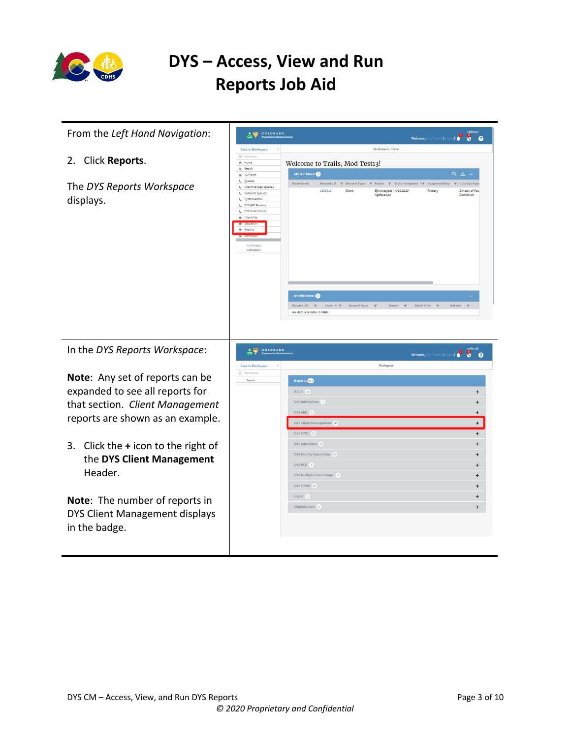

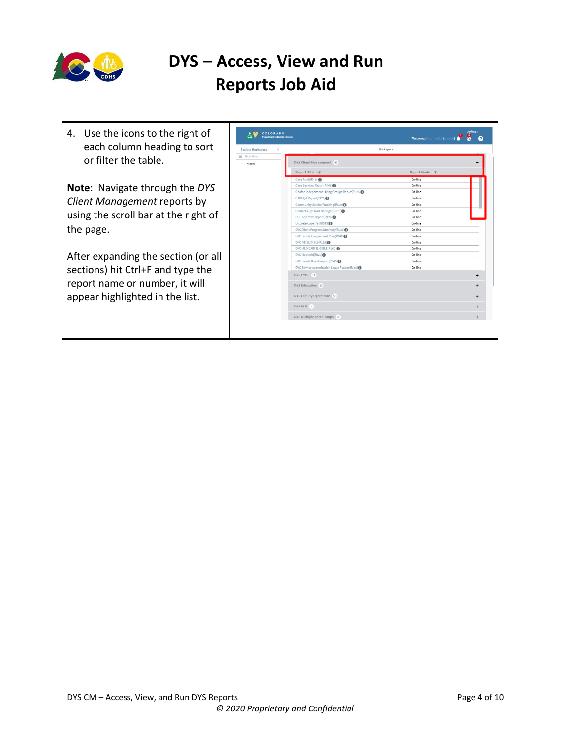

4. Use the icons to the right of each column heading to sort or filter the table.

**Note**: Navigate through the *DYS Client Management* reports by using the scroll bar at the right of the page.

After expanding the section (or all sections) hit Ctrl+F and type the report name or number, it will appear highlighted in the list.

| A Cass<br>COLORADO<br>co<br><b>Department of Human Services</b> |                                                            | cyfmu <sub>2</sub><br>Welcome, Mod Test13 (Logout)<br>อ |
|-----------------------------------------------------------------|------------------------------------------------------------|---------------------------------------------------------|
| $\acute{ <}$<br><b>Back to Workspace</b>                        | Workspace                                                  |                                                         |
| $\equiv$ Show Menu                                              |                                                            |                                                         |
| Reports                                                         | DYS Client Management 43                                   |                                                         |
|                                                                 | Report Title + T                                           | Report Mode                                             |
|                                                                 | Case Audit(R418)                                           | On-line                                                 |
|                                                                 | Case Services Report(R466)                                 | On-line                                                 |
|                                                                 | Chafee Independent Living Groups Report(R575) <sup>0</sup> | On-line                                                 |
|                                                                 | CJRA QA Report(R476)                                       | On-line                                                 |
|                                                                 | Community Service Tracking(R600)                           | On-line                                                 |
|                                                                 | Contacts By Client Manager(R375)                           | On-line                                                 |
|                                                                 | DCP Approval Report(R426)                                  | On-line                                                 |
|                                                                 | Discrete Case Plan(R573)                                   | On-line                                                 |
|                                                                 | DYC Client Progress Summary(R226)                          | On-line                                                 |
|                                                                 | DYC Family Engagement Plan(R648)                           | On-line                                                 |
|                                                                 | DYC IVE ELIGIBLE(R159) <sup>O</sup>                        | On-line                                                 |
|                                                                 | DYC MEDICAID ELIGIBLE(R160) <sup>0</sup>                   | On-line                                                 |
|                                                                 | DYC Medicaid(R822) <sup>O</sup>                            | On-line                                                 |
|                                                                 | DYC Parole Board Report(R540)                              | On-line                                                 |
|                                                                 | DYC Service Authorization Leave Reason(R359) <sup>0</sup>  | On-line                                                 |
|                                                                 | DYS CYDC 11                                                | $\ddot{}$                                               |
|                                                                 | DYS Education 13                                           | +                                                       |
|                                                                 | DYS Facility Operations 58                                 | ÷                                                       |
|                                                                 | DYS IV-E 3                                                 | +                                                       |
|                                                                 | DYS Multiple User Groups 8                                 | $\ddot{}$                                               |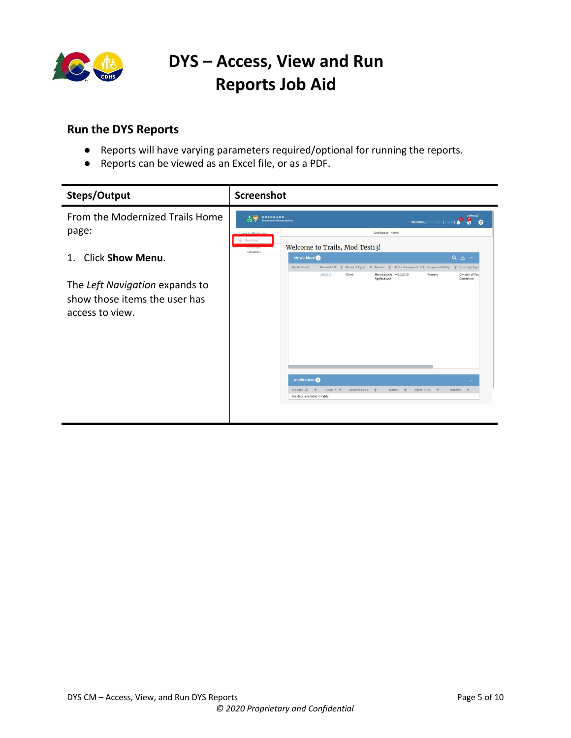

#### <span id="page-4-0"></span>**Run the DYS Reports**

- Reports will have varying parameters required/optional for running the reports.
- Reports can be viewed as an Excel file, or as a PDF.

| Steps/Output                                                                       | Screenshot                                                                                                                                                                                  |                                                                        |
|------------------------------------------------------------------------------------|---------------------------------------------------------------------------------------------------------------------------------------------------------------------------------------------|------------------------------------------------------------------------|
| From the Modernized Trails Home<br>page:<br>1. Click Show Menu.                    | A COLORADO<br>$co$ $\frac{1}{2}$<br><b>Department of Human Services</b><br><b>Welcome, Mod Test13 (L</b>                                                                                    | cyfmu2<br>๏                                                            |
|                                                                                    | Workspace - Home<br><b>Back to Workspace</b><br>Show Menu<br>Welcome to Trails, Mod Test13!<br>My Workload                                                                                  |                                                                        |
|                                                                                    | Notifications<br>My Workload<br>Restricted<br>Record ID<br>$\overline{\tau}$ Record Type $\overline{\tau}$ Name $\overline{\tau}$<br>1853915<br>Client<br>Ifimwrasjevb 4/20/2020<br>Primary | Q ± -<br>Date Assigned <b>TY</b> Responsibility<br><b>T</b> County/Age |
| The Left Navigation expands to<br>show those items the user has<br>access to view. | Agdfssasysz                                                                                                                                                                                 | Division of You<br>Correction                                          |
|                                                                                    | <b>Notifications</b>                                                                                                                                                                        |                                                                        |
|                                                                                    | Date $\Psi$ $\Psi$<br>Record Type <b>T</b><br>Alert Title <b>Y</b><br>Record ID $\blacktriangledown$<br>Name <b>Y</b><br>No data available in table                                         | Details <b>\</b>                                                       |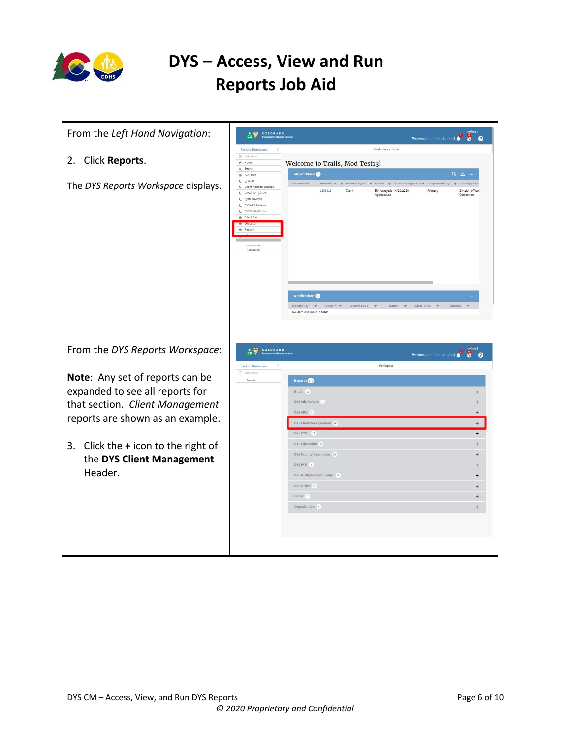

| From the Left Hand Navigation:                                                                                                                                                                                     | COLORADO<br>$\hat{c}$ $\hat{y}$<br>Welcome, Mod Test13 (Logout) <b>4</b><br>$\bullet$                                                                                                                                                                                                                                                                                                                                                                                                                                                                                                                                                                                                                                                                                                                        |
|--------------------------------------------------------------------------------------------------------------------------------------------------------------------------------------------------------------------|--------------------------------------------------------------------------------------------------------------------------------------------------------------------------------------------------------------------------------------------------------------------------------------------------------------------------------------------------------------------------------------------------------------------------------------------------------------------------------------------------------------------------------------------------------------------------------------------------------------------------------------------------------------------------------------------------------------------------------------------------------------------------------------------------------------|
| 2. Click Reports.<br>The DYS Reports Workspace displays.                                                                                                                                                           | Workspace - Home<br><b>Back to Workspace</b><br>$\times$ Hide Mer<br>Welcome to Trails, Mod Test13!<br>合 Home<br>Q Search<br>My Workload<br>Q ± -<br>the ICJ Youth<br><b>L</b> Queues<br>Restricted<br>Record ID $\ \overline{\tau}$ Record Type $\ \overline{\tau}$ Name $\ \overline{\tau}$ Date Assigned $\tau\overline{\tau}$ Responsibility<br><b>Y</b> County/Age<br>L. Client Manager Oueues<br>1853915<br>Ifjmwrasjevb 4/20/2020<br>Division of You<br>Client<br>Primary<br><b>L</b> Resource Queues<br>Agdfssasysz<br>Correction<br>System Admin<br>$\epsilon$<br>C DYS ARD Reviews<br>C DYS Youth/Victim<br><b>EB</b> Client File<br>de Reports<br>Notifications<br>Notifications <sup>O</sup><br>Record ID   T<br>Date $\mathbf{v}$ $\mathbf{\psi}$ Record Type<br>Alert Title<br>Details<br>Name |
| From the DYS Reports Workspace:                                                                                                                                                                                    | No data available in table<br>Welcome, Mod Test13 (Logout) <b>0</b> cyfmu2<br>COLORADO<br>Workspace<br><b>Back to Workspace</b>                                                                                                                                                                                                                                                                                                                                                                                                                                                                                                                                                                                                                                                                              |
| Note: Any set of reports can be<br>expanded to see all reports for<br>that section. Client Management<br>reports are shown as an example.<br>3.<br>Click the $+$ icon to the right of<br>the DYS Client Management | = Show Men<br>Reports<br>Reports <b>OD</b><br>Batch 10<br>$+$<br>DYS Admissions 1<br>$\ddot{}$<br>DYS ARD 3<br>$\ddot{}$<br>DYS Client Management 43<br>$+$<br>DYS CYDC 11<br>$+$<br>DYS Education 13<br>$\ddot{}$<br>DYS Facility Operations 58<br>$\ddot{}$<br>DYS IV-E 3<br>$\ddot{}$                                                                                                                                                                                                                                                                                                                                                                                                                                                                                                                     |
| Header.                                                                                                                                                                                                            | DYS Multiple User Groups 8<br>$+$<br>DYS Other 16<br>$\ddot{}$<br>Fiscal 1<br>$\ddot{}$<br>Organization 5<br>$\ddot{}$                                                                                                                                                                                                                                                                                                                                                                                                                                                                                                                                                                                                                                                                                       |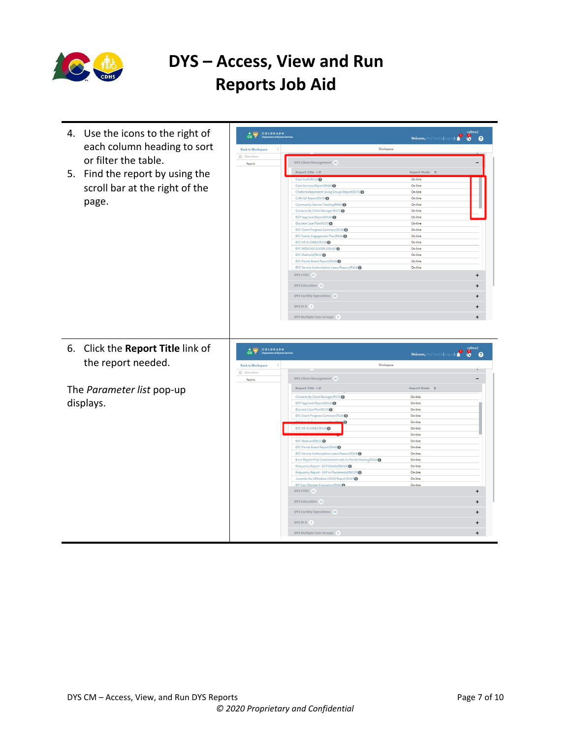

4. Use the icons to the right of **COLORADO**<br>COM Pepartment of Human Ser Welcome, Mod Test13 (Logout) **4** each column heading to sort  $\begin{array}{lcl} \textbf{Back to Workspace} & \hspace{2em} \langle \hspace{2em} \rangle \end{array}$ Workspace  $\equiv$  Show or filter the table. DYS Client Management 43 Reports Report Title  $\star \overline{\tau}$ 5. Find the report by using the Case Audit(R418)<sup>O</sup> On-line Case Services Report (R466) scroll bar at the right of the On-line Chafee Independent Living Gro<br>CJRA QA Report(R476) 50 On-line On-line page. Community Service Tracking(R600) On-line On-line  $DCP$  Approval Report(R426) $\bigoplus$ On-line Discrete Case Plan(R573)<sup>●</sup><br>DYC Client Progress Summary(R226)● On-line On-line DYC Family Engagement Plan(R648) On-line On-line DYC MEDICAID ELIGIBLE(R160)● On-line DYC Medicaid(R822)❶<br>DYC Parole Board Report(R540)● On-line On-line  $on(R359)$ DYC Service Authorization Leave Re On-line DYS CYDC 11  $\ddot{+}$ DYS Education 13  $\ddot{}$ DYS Facility Operations 58  $\ddot{}$  $DYS IV-E \quad 3$  $\ddot{+}$ DYS Multiple User Groups 8 6. Click the **Report Title** link of **COLORADO**  $\begin{picture}(180,10) \put(0,0){\line(1,0){10}} \put(10,0){\line(1,0){10}} \put(10,0){\line(1,0){10}} \put(10,0){\line(1,0){10}} \put(10,0){\line(1,0){10}} \put(10,0){\line(1,0){10}} \put(10,0){\line(1,0){10}} \put(10,0){\line(1,0){10}} \put(10,0){\line(1,0){10}} \put(10,0){\line(1,0){10}} \put(10,0){\line(1,0){10}} \put(10,0){\line($ the report needed. **Back to Workspace** Workspace  $\equiv$  Show Men DYS Client Management 43 Reports The *Parameter list* pop-up Report Title  $\star \overline{\tau}$ Report Mode On-line Contacts By Client Manager(R375)<sup>0</sup> displays.DCP Approval Report(R426)● On-line Discrete Case Plan(R573)<sup>0</sup> On-line DYC Client Progress Summary On-line On-line DYC IVE ELIGIBLE (R159)<sup>O</sup> On-line On-line DYC Medicaid(R822) On-line DYC Parole Board Report(R540) $\bigcirc$ On-line DYC Service Authorization Leave Reason(R359) ● On-line Error Report-Post Commitment with no Par (R264)<sup>O</sup> On-line Frequency Report - DCP Details (R801H) On-line Frequency Report - GAP in Placements (R801M)<br>Juvenile Sex Offenders (JVSO) Report (R187) On-line On-line **KPI Sex Offender Evaluation (R368)** On-line  $\ddot{}$ DYS Education 13  $\ddot{}$ DYS Facility Operations 58  $\ddot{}$  $DYS IV-E$  3  $\ddot{}$ DYS Multiple User Groups 8  $\ddot{+}$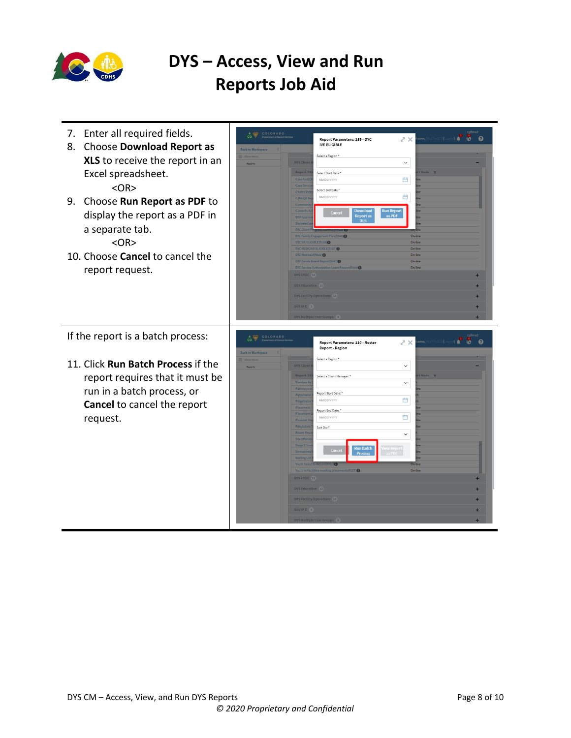

| 7. Enter all required fields.<br>Choose Download Report as<br>8.<br>XLS to receive the report in an<br>Excel spreadsheet.<br>$<\Omega$ R $>$<br>9. Choose Run Report as PDF to<br>display the report as a PDF in<br>a separate tab.<br>$<$ OR $>$<br>10. Choose Cancel to cancel the<br>report request. | COLORADO<br>$\sim$<br><b>Come, Mod Test13 (Logout)</b><br>A X<br>$\bullet$<br>Report Parameters: 159 - DYC<br><b>IVE ELIGIBLE</b><br><b>Back to Workspace</b><br>Select a Region *<br><b>DYS Client</b><br>$\checkmark$<br>Reports<br>t Mode Y<br><b>Report Tit</b><br>Select Start Date *<br>曲<br>Case Audit<br><b>MM/DD/YYYY</b><br>Case Sen<br>Select End Date *<br><b>Chafee Inc</b><br>曲<br>MM/DD/YYYY<br>CJRA QA Re<br>Communi<br><b>Download</b><br><b>Run Report</b><br><b>Contacts B</b><br>Cancel<br><b>Report</b> as<br>as PDF<br><b>DCP Appr</b><br><b>XLS</b><br>DYC Family Engagement Plan(R648) <sup>O</sup><br>$On-line$<br>DYC IVE ELIGIBLE(R159)<br>On-line<br>DYC MEDICAID ELIGIBLE(R160)<br>On-line<br>DYC Medicaid(R822) <sup>(1)</sup><br>On-line<br>DYC Parole Board Report(R540)<br>On-line<br>DYC Service Authorization Leave Reason(R359)<br>On-line<br>DYS CYDC 11<br><b>DYS Education 13</b><br><b>DYS Facility Operations</b> 58<br>DYS IV-E 3<br>DYS Multiple User Groups 8 |
|---------------------------------------------------------------------------------------------------------------------------------------------------------------------------------------------------------------------------------------------------------------------------------------------------------|-----------------------------------------------------------------------------------------------------------------------------------------------------------------------------------------------------------------------------------------------------------------------------------------------------------------------------------------------------------------------------------------------------------------------------------------------------------------------------------------------------------------------------------------------------------------------------------------------------------------------------------------------------------------------------------------------------------------------------------------------------------------------------------------------------------------------------------------------------------------------------------------------------------------------------------------------------------------------------------------------------------|
| If the report is a batch process:<br>11. Click Run Batch Process if the<br>report requires that it must be<br>run in a batch process, or<br><b>Cancel</b> to cancel the report<br>request.                                                                                                              | COLORADO<br>ome, Mod Test13 (Logout) <b>A</b> 60 <b>@</b><br>スメ<br>Report Parameters: 110 - Roster<br><b>Report - Region</b><br><b>Back to Workspace</b><br>Select a Region *<br><b>DYS Client</b><br>$\checkmark$<br>Reports<br>Mode <sub>v</sub><br>Report Ti<br>Select a Client Manager: *<br>$\check{~}$<br><b>Parolees B</b><br>Pathways<br>Report Start Date:<br>Perpetrato<br>曲<br>MM/DD/YYYY<br>Perpetrato<br>Placeme<br>Report End Date: *<br>Placemen<br>Ë<br>MM/DD/YYYY<br><b>Restitution</b><br>Sort On: *<br><b>Roster Res</b><br>$\checkmark$<br>ex Offer<br><b>Stage II Su</b><br><b>Run Batch</b><br>iew Report<br>as PDF<br>Cance<br><b>Process</b><br>On-line<br>Youth Failed to Return R701<br>Youth in Facilities awaiting placements(R357)<br>On-line<br>DYS CYDC 11<br>DYS Education 13<br>DYS Facility Operations 58<br>DYS IV-E 3<br>DYS Multiple User Groups 8                                                                                                                   |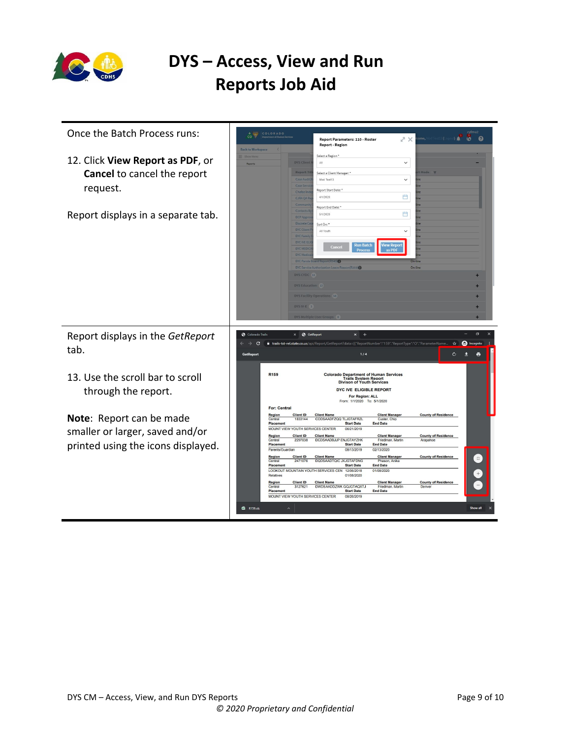